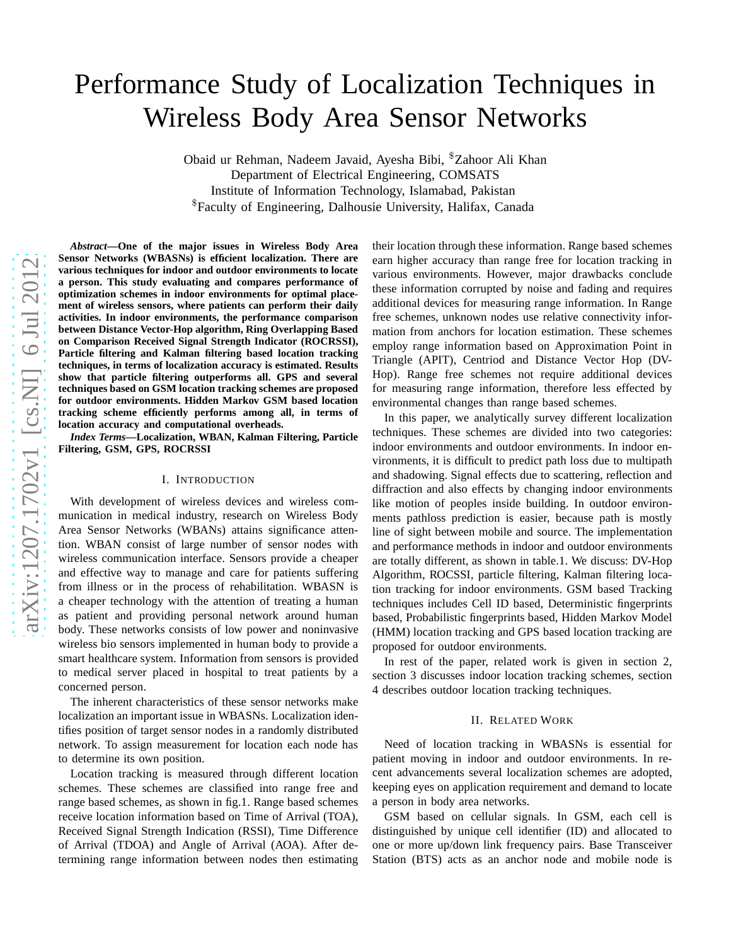# Performance Study of Localization Techniques in Wireless Body Area Sensor Networks

Obaid ur Rehman, Nadeem Javaid, Ayesha Bibi, \$Zahoor Ali Khan Department of Electrical Engineering, COMSATS Institute of Information Technology, Islamabad, Pakistan \$Faculty of Engineering, Dalhousie University, Halifax, Canada

*Abstract***—One of the major issues in Wireless Body Area Sensor Networks (WBASNs) is efficient localization. There are various techniques for indoor and outdoor environments to locate a person. This study evaluating and compares performance of optimization schemes in indoor environments for optimal placement of wireless sensors, where patients can perform their daily activities. In indoor environments, the performance comparison between Distance Vector-Hop algorithm, Ring Overlapping Based on Comparison Received Signal Strength Indicator (ROCRSSI), Particle filtering and Kalman filtering based location tracking techniques, in terms of localization accuracy is estimated. Results show that particle filtering outperforms all. GPS and severa l techniques based on GSM location tracking schemes are proposed for outdoor environments. Hidden Markov GSM based location tracking scheme efficiently performs among all, in terms of location accuracy and computational overheads.**

*Index Terms***—Localization, WBAN, Kalman Filtering, Particle Filtering, GSM, GPS, ROCRSSI**

# I. INTRODUCTION

With development of wireless devices and wireless communication in medical industry, research on Wireless Body Area Sensor Networks (WBANs) attains significance attention. WBAN consist of large number of sensor nodes with wireless communication interface. Sensors provide a cheaper and effective way to manage and care for patients suffering from illness or in the process of rehabilitation. WBASN is a cheaper technology with the attention of treating a human as patient and providing personal network around human body. These networks consists of low power and noninvasive wireless bio sensors implemented in human body to provide a smart healthcare system. Information from sensors is provided to medical server placed in hospital to treat patients by a concerned person.

The inherent characteristics of these sensor networks make localization an important issue in WBASNs. Localization identifies position of target sensor nodes in a randomly distributed network. To assign measurement for location each node has to determine its own position.

Location tracking is measured through different location schemes. These schemes are classified into range free and range based schemes, as shown in fig.1. Range based schemes receive location information based on Time of Arrival (TOA) , Received Signal Strength Indication (RSSI), Time Difference of Arrival (TDOA) and Angle of Arrival (AOA). After determining range information between nodes then estimating

their location through these information. Range based schemes earn higher accuracy than range free for location tracking i n various environments. However, major drawbacks conclude these information corrupted by noise and fading and require s additional devices for measuring range information. In Range free schemes, unknown nodes use relative connectivity information from anchors for location estimation. These schemes employ range information based on Approximation Point in Triangle (APIT), Centriod and Distance Vector Hop (DV-Hop). Range free schemes not require additional devices for measuring range information, therefore less effected b y environmental changes than range based schemes.

In this paper, we analytically survey different localization techniques. These schemes are divided into two categories: indoor environments and outdoor environments. In indoor en vironments, it is difficult to predict path loss due to multipath and shadowing. Signal effects due to scattering, reflection and diffraction and also effects by changing indoor environments like motion of peoples inside building. In outdoor environments pathloss prediction is easier, because path is mostly line of sight between mobile and source. The implementation and performance methods in indoor and outdoor environments are totally different, as shown in table.1. We discuss: DV-Hop Algorithm, ROCSSI, particle filtering, Kalman filtering location tracking for indoor environments. GSM based Tracking techniques includes Cell ID based, Deterministic fingerprints based, Probabilistic fingerprints based, Hidden Markov Model (HMM) location tracking and GPS based location tracking are proposed for outdoor environments.

In rest of the paper, related work is given in section 2, section 3 discusses indoor location tracking schemes, section 4 describes outdoor location tracking techniques.

# II. RELATED WORK

Need of location tracking in WBASNs is essential for patient moving in indoor and outdoor environments. In recent advancements several localization schemes are adopted, keeping eyes on application requirement and demand to locat e a person in body area networks.

GSM based on cellular signals. In GSM, each cell is distinguished by unique cell identifier (ID) and allocated t o one or more up/down link frequency pairs. Base Transceiver Station (BTS) acts as an anchor node and mobile node is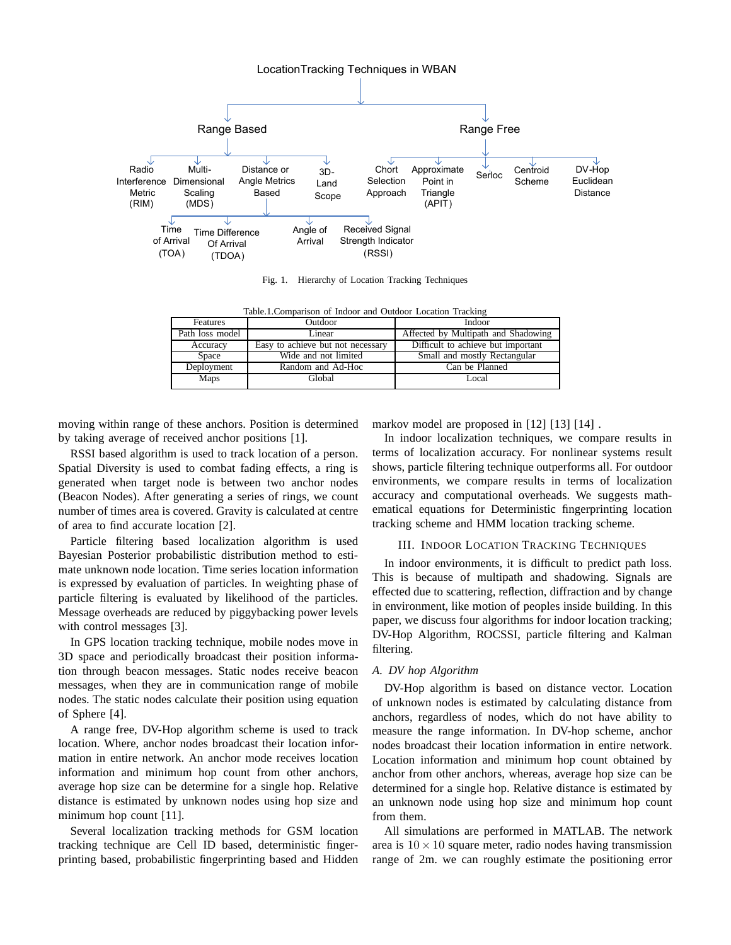

Fig. 1. Hierarchy of Location Tracking Techniques

Table.1.Comparison of Indoor and Outdoor Location Tracking

| Features        | Outdoor                           | Indoor                              |
|-----------------|-----------------------------------|-------------------------------------|
| Path loss model | Linear                            | Affected by Multipath and Shadowing |
| Accuracy        | Easy to achieve but not necessary | Difficult to achieve but important  |
| Space           | Wide and not limited              | Small and mostly Rectangular        |
| Deployment      | Random and Ad-Hoc                 | Can be Planned                      |
| <b>Maps</b>     | Global                            | Local                               |

moving within range of these anchors. Position is determined by taking average of received anchor positions [1].

RSSI based algorithm is used to track location of a person. Spatial Diversity is used to combat fading effects, a ring is generated when target node is between two anchor nodes (Beacon Nodes). After generating a series of rings, we count number of times area is covered. Gravity is calculated at centre of area to find accurate location [2].

Particle filtering based localization algorithm is used Bayesian Posterior probabilistic distribution method to estimate unknown node location. Time series location information is expressed by evaluation of particles. In weighting phase of particle filtering is evaluated by likelihood of the particles. Message overheads are reduced by piggybacking power levels with control messages [3].

In GPS location tracking technique, mobile nodes move in 3D space and periodically broadcast their position information through beacon messages. Static nodes receive beacon messages, when they are in communication range of mobile nodes. The static nodes calculate their position using equation of Sphere [4].

A range free, DV-Hop algorithm scheme is used to track location. Where, anchor nodes broadcast their location information in entire network. An anchor mode receives location information and minimum hop count from other anchors, average hop size can be determine for a single hop. Relative distance is estimated by unknown nodes using hop size and minimum hop count [11].

Several localization tracking methods for GSM location tracking technique are Cell ID based, deterministic fingerprinting based, probabilistic fingerprinting based and Hidden markov model are proposed in [12] [13] [14] .

In indoor localization techniques, we compare results in terms of localization accuracy. For nonlinear systems result shows, particle filtering technique outperforms all. For outdoor environments, we compare results in terms of localization accuracy and computational overheads. We suggests mathematical equations for Deterministic fingerprinting location tracking scheme and HMM location tracking scheme.

## III. INDOOR LOCATION TRACKING TECHNIQUES

In indoor environments, it is difficult to predict path loss. This is because of multipath and shadowing. Signals are effected due to scattering, reflection, diffraction and by change in environment, like motion of peoples inside building. In this paper, we discuss four algorithms for indoor location tracking; DV-Hop Algorithm, ROCSSI, particle filtering and Kalman filtering.

### *A. DV hop Algorithm*

DV-Hop algorithm is based on distance vector. Location of unknown nodes is estimated by calculating distance from anchors, regardless of nodes, which do not have ability to measure the range information. In DV-hop scheme, anchor nodes broadcast their location information in entire network. Location information and minimum hop count obtained by anchor from other anchors, whereas, average hop size can be determined for a single hop. Relative distance is estimated by an unknown node using hop size and minimum hop count from them.

All simulations are performed in MATLAB. The network area is  $10 \times 10$  square meter, radio nodes having transmission range of 2m. we can roughly estimate the positioning error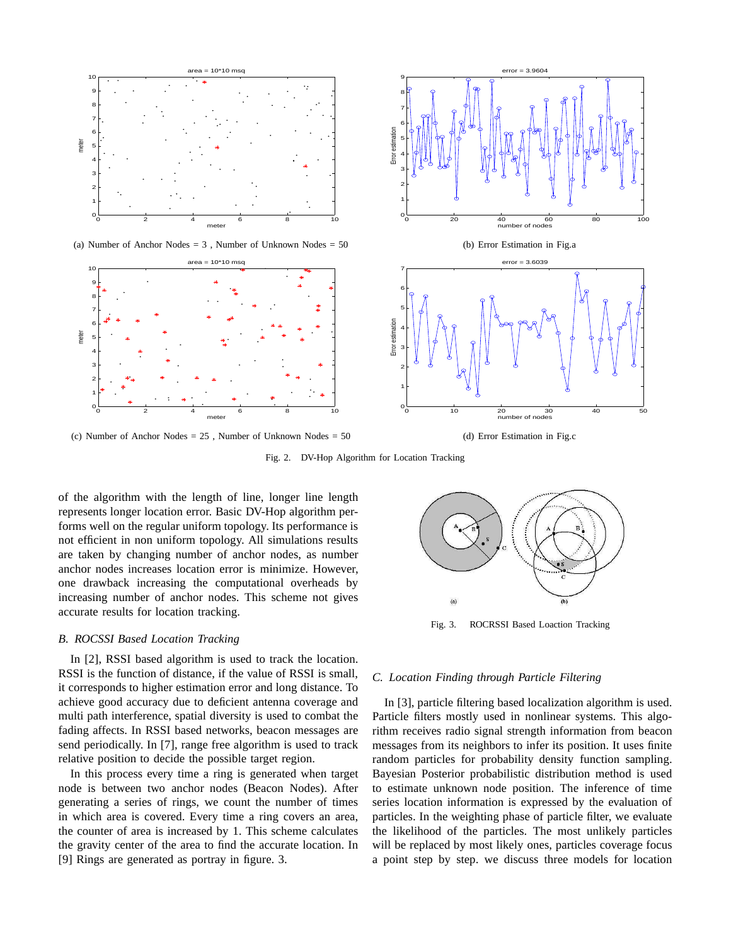

(a) Number of Anchor Nodes  $= 3$ , Number of Unknown Nodes  $= 50$ 



(c) Number of Anchor Nodes = 25 , Number of Unknown Nodes = 50



(b) Error Estimation in Fig.a



(d) Error Estimation in Fig.c

Fig. 2. DV-Hop Algorithm for Location Tracking

of the algorithm with the length of line, longer line length represents longer location error. Basic DV-Hop algorithm performs well on the regular uniform topology. Its performance is not efficient in non uniform topology. All simulations results are taken by changing number of anchor nodes, as number anchor nodes increases location error is minimize. However, one drawback increasing the computational overheads by increasing number of anchor nodes. This scheme not gives accurate results for location tracking.

# *B. ROCSSI Based Location Tracking*

In [2], RSSI based algorithm is used to track the location. RSSI is the function of distance, if the value of RSSI is small, it corresponds to higher estimation error and long distance. To achieve good accuracy due to deficient antenna coverage and multi path interference, spatial diversity is used to combat the fading affects. In RSSI based networks, beacon messages are send periodically. In [7], range free algorithm is used to track relative position to decide the possible target region.

In this process every time a ring is generated when target node is between two anchor nodes (Beacon Nodes). After generating a series of rings, we count the number of times in which area is covered. Every time a ring covers an area, the counter of area is increased by 1. This scheme calculates the gravity center of the area to find the accurate location. In [9] Rings are generated as portray in figure. 3.



Fig. 3. ROCRSSI Based Loaction Tracking

# *C. Location Finding through Particle Filtering*

In [3], particle filtering based localization algorithm is used. Particle filters mostly used in nonlinear systems. This algorithm receives radio signal strength information from beacon messages from its neighbors to infer its position. It uses finite random particles for probability density function sampling. Bayesian Posterior probabilistic distribution method is used to estimate unknown node position. The inference of time series location information is expressed by the evaluation of particles. In the weighting phase of particle filter, we evaluate the likelihood of the particles. The most unlikely particles will be replaced by most likely ones, particles coverage focus a point step by step. we discuss three models for location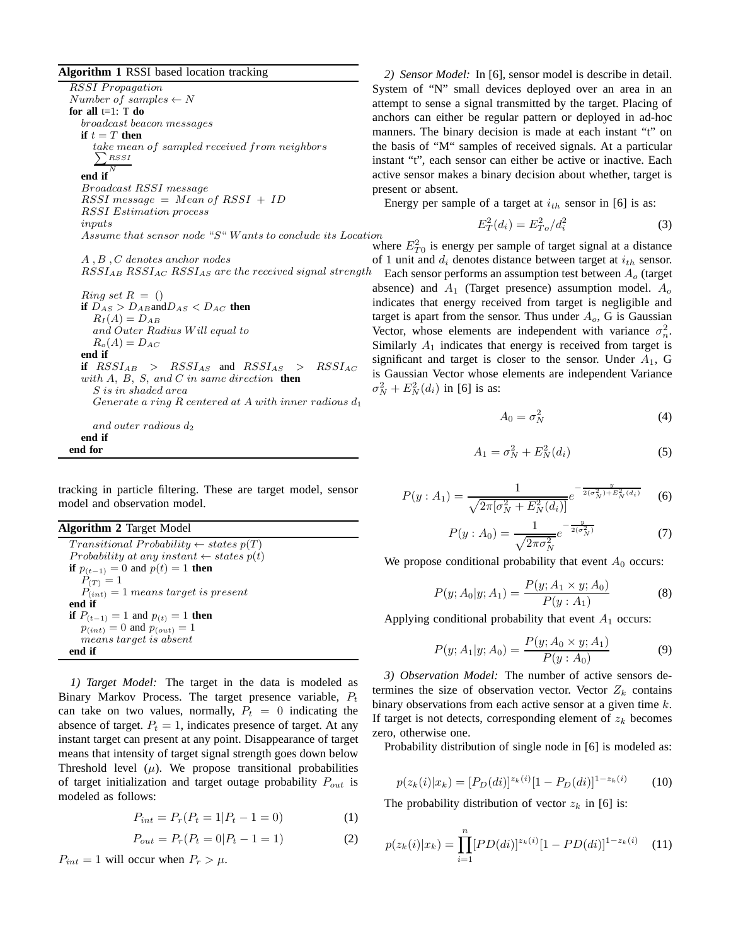**Algorithm 1** RSSI based location tracking

RSSI Propagation  $Number of samples \leftarrow N$ **for all** t=1: T **do** broadcast beacon messages **if**  $t = T$  **then** take mean of sampled received from neighbors  $\sum_{RSSI}$ N **end if** Broadcast RSSI message  $RSSI$  message = Mean of  $RSSI + ID$ RSSI Estimation process inputs Assume that sensor node "S" W ants to conclude its Location A , B , C denotes anchor nodes  $RSSI_{AB}$   $RSSI_{AC}$   $RSSI_{AS}$  are the received signal strength  $Ring set R = ()$ **if**  $D_{AS} > D_{AB}$  and  $D_{AS} < D_{AC}$  **then**  $R_I(A) = D_{AB}$ and Outer Radius W ill equal to  $R_o(A) = D_{AC}$ **end if if**  $RSSI_{AB}$  >  $RSSI_{AS}$  and  $RSSI_{AS}$  >  $RSSI_{AC}$ with A, B, S, and C in same direction **then** S is in shaded area Generate a ring R centered at A with inner radious  $d_1$ and outer radious  $d_2$ 

#### **end if end for**

tracking in particle filtering. These are target model, sensor model and observation model.

**Algorithm 2** Target Model Transitional Probability  $\leftarrow$  states  $p(T)$ Probability at any instant  $\leftarrow$  states  $p(t)$ **if**  $p_{(t-1)} = 0$  and  $p(t) = 1$  **then**  $P_{(T)} = 1$  $P_{(int)} = 1$  means target is present **end if if**  $P_{(t-1)} = 1$  and  $p_{(t)} = 1$  **then**  $p_{(int)} = 0$  and  $p_{(out)} = 1$ means target is absent **end if**

*1) Target Model:* The target in the data is modeled as Binary Markov Process. The target presence variable,  $P_t$ can take on two values, normally,  $P_t = 0$  indicating the absence of target.  $P_t = 1$ , indicates presence of target. At any instant target can present at any point. Disappearance of target means that intensity of target signal strength goes down below Threshold level  $(\mu)$ . We propose transitional probabilities of target initialization and target outage probability  $P_{out}$  is modeled as follows:

$$
P_{int} = P_r(P_t = 1 | P_t - 1 = 0)
$$
 (1)

$$
P_{out} = P_r(P_t = 0|P_t - 1 = 1)
$$
\n(2)

 $P_{int} = 1$  will occur when  $P_r > \mu$ .

*2) Sensor Model:* In [6], sensor model is describe in detail. System of "N" small devices deployed over an area in an attempt to sense a signal transmitted by the target. Placing of anchors can either be regular pattern or deployed in ad-hoc manners. The binary decision is made at each instant "t" on the basis of "M" samples of received signals. At a particular instant "t", each sensor can either be active or inactive. Each active sensor makes a binary decision about whether, target is present or absent.

Energy per sample of a target at  $i_{th}$  sensor in [6] is as:

$$
E_T^2(d_i) = E_{T_o}^2 / d_i^2 \tag{3}
$$

where  $E_{T0}^2$  is energy per sample of target signal at a distance of 1 unit and  $d_i$  denotes distance between target at  $i_{th}$  sensor.

Each sensor performs an assumption test between  $A<sub>o</sub>$  (target absence) and  $A_1$  (Target presence) assumption model.  $A_0$ indicates that energy received from target is negligible and target is apart from the sensor. Thus under  $A<sub>o</sub>$ , G is Gaussian Vector, whose elements are independent with variance  $\sigma_n^2$ . Similarly  $A_1$  indicates that energy is received from target is significant and target is closer to the sensor. Under  $A_1$ , G is Gaussian Vector whose elements are independent Variance  $\sigma_N^2 + E_N^2(d_i)$  in [6] is as:

$$
A_0 = \sigma_N^2 \tag{4}
$$

$$
A_1 = \sigma_N^2 + E_N^2(d_i) \tag{5}
$$

$$
P(y : A_1) = \frac{1}{\sqrt{2\pi[\sigma_N^2 + E_N^2(d_i)]}} e^{-\frac{y}{2(\sigma_N^2) + E_N^2(d_i)}} \quad (6)
$$

$$
P(y : A_0) = \frac{1}{\sqrt{2\pi\sigma_N^2}} e^{-\frac{y}{2(\sigma_N^2)}}\tag{7}
$$

We propose conditional probability that event  $A_0$  occurs:

$$
P(y; A_0|y; A_1) = \frac{P(y; A_1 \times y; A_0)}{P(y; A_1)}
$$
(8)

Applying conditional probability that event  $A_1$  occurs:

$$
P(y; A_1|y; A_0) = \frac{P(y; A_0 \times y; A_1)}{P(y; A_0)}
$$
(9)

*3) Observation Model:* The number of active sensors determines the size of observation vector. Vector  $Z_k$  contains binary observations from each active sensor at a given time  $k$ . If target is not detects, corresponding element of  $z_k$  becomes zero, otherwise one.

Probability distribution of single node in [6] is modeled as:

$$
p(z_k(i)|x_k) = [P_D(di)]^{z_k(i)}[1 - P_D(di)]^{1 - z_k(i)} \tag{10}
$$

The probability distribution of vector  $z_k$  in [6] is:

$$
p(z_k(i)|x_k) = \prod_{i=1}^n [PD(di)]^{z_k(i)} [1 - PD(di)]^{1 - z_k(i)} \quad (11)
$$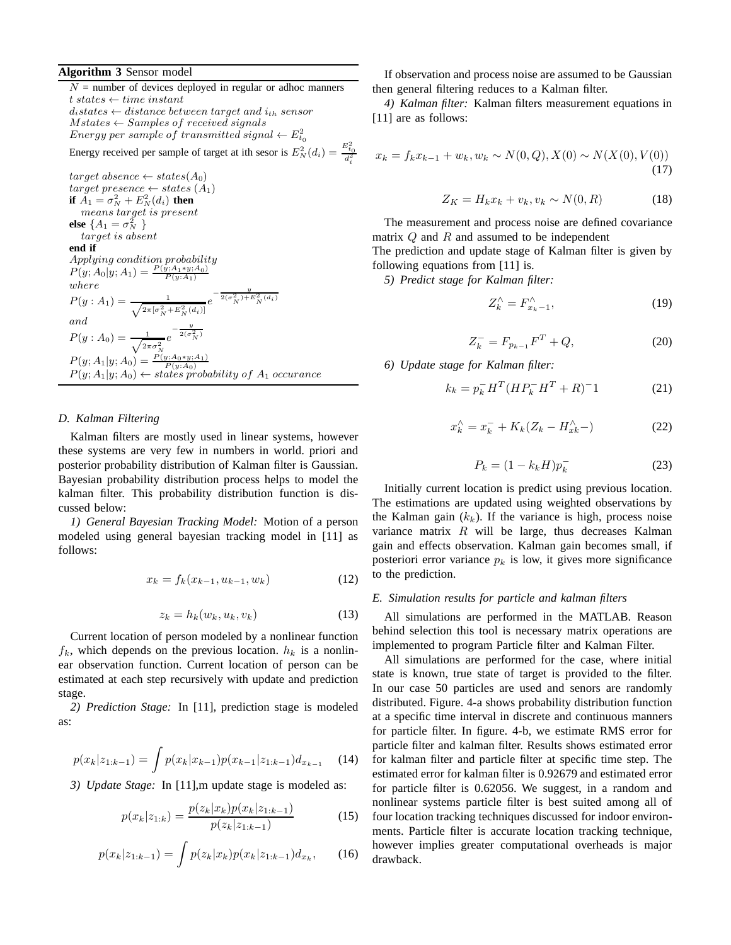# **Algorithm 3** Sensor model

 $N =$  number of devices deployed in regular or adhoc manners  $t \; states \leftarrow time \; instant$  $d_i$ states  $\leftarrow$  distance between target and  $i_{th}$  sensor  $M states \leftarrow Samples~of~received~signals$  $Energy\ per\ sample\ of\ transmitted\ signal\leftarrow E_{t_0}^2$ Energy received per sample of target at ith sesor is  $E_N^2(d_i) = \frac{E_{t_0}^2}{d_i^2}$  $target$  absence  $\leftarrow$  states(A<sub>0</sub>) target presence  $\leftarrow$  states  $(A_1)$ **if**  $\overline{A}_1 = \sigma_N^2 + E_N^2(d_i)$  **then** means target is present **else**  $\{A_1 = \sigma_N^2\}$ target is absent **end if** Applying condition probability  $P(y; A_0|y; A_1) = \frac{P(y; A_1*y; A_0)}{P(y; A_1)}$ where  $P(y: A_1) = \frac{1}{\sqrt{2\pi[\sigma_N^2 + E_N^2(d_i)]}} e^{-\frac{y}{2(\sigma_N^2) + E_N^2(d_i)}}$ and  $P(y : A_0) = \frac{1}{\sqrt{2\pi \sigma_N^2}}$  $e^{-\frac{y}{2(\sigma_N^2)}}$  $P(y; A_1|y; A_0) = \frac{P(y; A_0*y; A_1)}{P(y; A_0)}$  $P(y; A_1|y; A_0) \leftarrow$  states probability of  $A_1$  occurance

# *D. Kalman Filtering*

Kalman filters are mostly used in linear systems, however these systems are very few in numbers in world. priori and posterior probability distribution of Kalman filter is Gaussian. Bayesian probability distribution process helps to model the kalman filter. This probability distribution function is discussed below:

*1) General Bayesian Tracking Model:* Motion of a person modeled using general bayesian tracking model in [11] as follows:

$$
x_k = f_k(x_{k-1}, u_{k-1}, w_k)
$$
 (12)

$$
z_k = h_k(w_k, u_k, v_k)
$$
\n<sup>(13)</sup>

Current location of person modeled by a nonlinear function  $f_k$ , which depends on the previous location.  $h_k$  is a nonlinear observation function. Current location of person can be estimated at each step recursively with update and prediction stage.

*2) Prediction Stage:* In [11], prediction stage is modeled as:

$$
p(x_k|z_{1:k-1}) = \int p(x_k|x_{k-1})p(x_{k-1}|z_{1:k-1})d_{x_{k-1}} \quad (14)
$$

*3) Update Stage:* In [11],m update stage is modeled as:

$$
p(x_k|z_{1:k}) = \frac{p(z_k|x_k)p(x_k|z_{1:k-1})}{p(z_k|z_{1:k-1})}
$$
(15)

$$
p(x_k|z_{1:k-1}) = \int p(z_k|x_k)p(x_k|z_{1:k-1})d_{x_k}, \qquad (16)
$$

If observation and process noise are assumed to be Gaussian then general filtering reduces to a Kalman filter.

*4) Kalman filter:* Kalman filters measurement equations in [11] are as follows:

$$
x_k = f_k x_{k-1} + w_k, w_k \sim N(0, Q), X(0) \sim N(X(0), V(0))
$$
\n(17)

$$
Z_K = H_k x_k + v_k, v_k \sim N(0, R) \tag{18}
$$

The measurement and process noise are defined covariance matrix  $Q$  and  $R$  and assumed to be independent

The prediction and update stage of Kalman filter is given by following equations from [11] is.

*5) Predict stage for Kalman filter:*

$$
Z_k^{\wedge} = F_{x_k - 1}^{\wedge}, \tag{19}
$$

$$
Z_k^- = F_{p_{k-1}} F^T + Q,\t\t(20)
$$

*6) Update stage for Kalman filter:*

$$
k_k = p_k^- H^T (H P_k^- H^T + R)^{-1}
$$
 (21)

$$
x_k^{\wedge} = x_k^- + K_k(Z_k - H_{xk}^{\wedge} -) \tag{22}
$$

$$
P_k = (1 - k_k H)p_k^- \tag{23}
$$

Initially current location is predict using previous location. The estimations are updated using weighted observations by the Kalman gain  $(k_k)$ . If the variance is high, process noise variance matrix  $R$  will be large, thus decreases Kalman gain and effects observation. Kalman gain becomes small, if posteriori error variance  $p_k$  is low, it gives more significance to the prediction.

### *E. Simulation results for particle and kalman filters*

All simulations are performed in the MATLAB. Reason behind selection this tool is necessary matrix operations are implemented to program Particle filter and Kalman Filter.

All simulations are performed for the case, where initial state is known, true state of target is provided to the filter. In our case 50 particles are used and senors are randomly distributed. Figure. 4-a shows probability distribution function at a specific time interval in discrete and continuous manners for particle filter. In figure. 4-b, we estimate RMS error for particle filter and kalman filter. Results shows estimated error for kalman filter and particle filter at specific time step. The estimated error for kalman filter is 0.92679 and estimated error for particle filter is 0.62056. We suggest, in a random and nonlinear systems particle filter is best suited among all of four location tracking techniques discussed for indoor environments. Particle filter is accurate location tracking technique, however implies greater computational overheads is major drawback.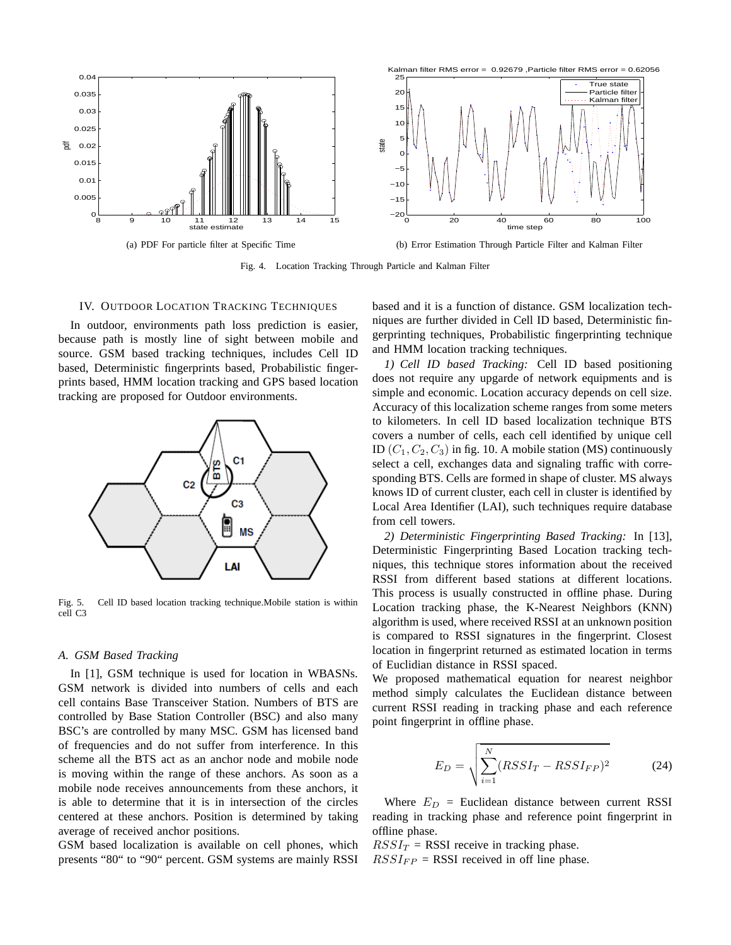

Fig. 4. Location Tracking Through Particle and Kalman Filter

#### IV. OUTDOOR LOCATION TRACKING TECHNIQUES

In outdoor, environments path loss prediction is easier, because path is mostly line of sight between mobile and source. GSM based tracking techniques, includes Cell ID based, Deterministic fingerprints based, Probabilistic fingerprints based, HMM location tracking and GPS based location tracking are proposed for Outdoor environments.



Fig. 5. Cell ID based location tracking technique.Mobile station is within cell C3

### *A. GSM Based Tracking*

In [1], GSM technique is used for location in WBASNs. GSM network is divided into numbers of cells and each cell contains Base Transceiver Station. Numbers of BTS are controlled by Base Station Controller (BSC) and also many BSC's are controlled by many MSC. GSM has licensed band of frequencies and do not suffer from interference. In this scheme all the BTS act as an anchor node and mobile node is moving within the range of these anchors. As soon as a mobile node receives announcements from these anchors, it is able to determine that it is in intersection of the circles centered at these anchors. Position is determined by taking average of received anchor positions.

GSM based localization is available on cell phones, which presents "80" to "90" percent. GSM systems are mainly RSSI based and it is a function of distance. GSM localization techniques are further divided in Cell ID based, Deterministic fingerprinting techniques, Probabilistic fingerprinting technique and HMM location tracking techniques.

*1) Cell ID based Tracking:* Cell ID based positioning does not require any upgarde of network equipments and is simple and economic. Location accuracy depends on cell size. Accuracy of this localization scheme ranges from some meters to kilometers. In cell ID based localization technique BTS covers a number of cells, each cell identified by unique cell ID  $(C_1, C_2, C_3)$  in fig. 10. A mobile station (MS) continuously select a cell, exchanges data and signaling traffic with corresponding BTS. Cells are formed in shape of cluster. MS always knows ID of current cluster, each cell in cluster is identified by Local Area Identifier (LAI), such techniques require database from cell towers.

*2) Deterministic Fingerprinting Based Tracking:* In [13], Deterministic Fingerprinting Based Location tracking techniques, this technique stores information about the received RSSI from different based stations at different locations. This process is usually constructed in offline phase. During Location tracking phase, the K-Nearest Neighbors (KNN) algorithm is used, where received RSSI at an unknown position is compared to RSSI signatures in the fingerprint. Closest location in fingerprint returned as estimated location in terms of Euclidian distance in RSSI spaced.

We proposed mathematical equation for nearest neighbor method simply calculates the Euclidean distance between current RSSI reading in tracking phase and each reference point fingerprint in offline phase.

$$
E_D = \sqrt{\sum_{i=1}^{N} (RSSI_T - RSSI_{FP})^2}
$$
 (24)

Where  $E_D$  = Euclidean distance between current RSSI reading in tracking phase and reference point fingerprint in offline phase.

 $RSSI_T$  = RSSI receive in tracking phase.  $RSSI_{FP}$  = RSSI received in off line phase.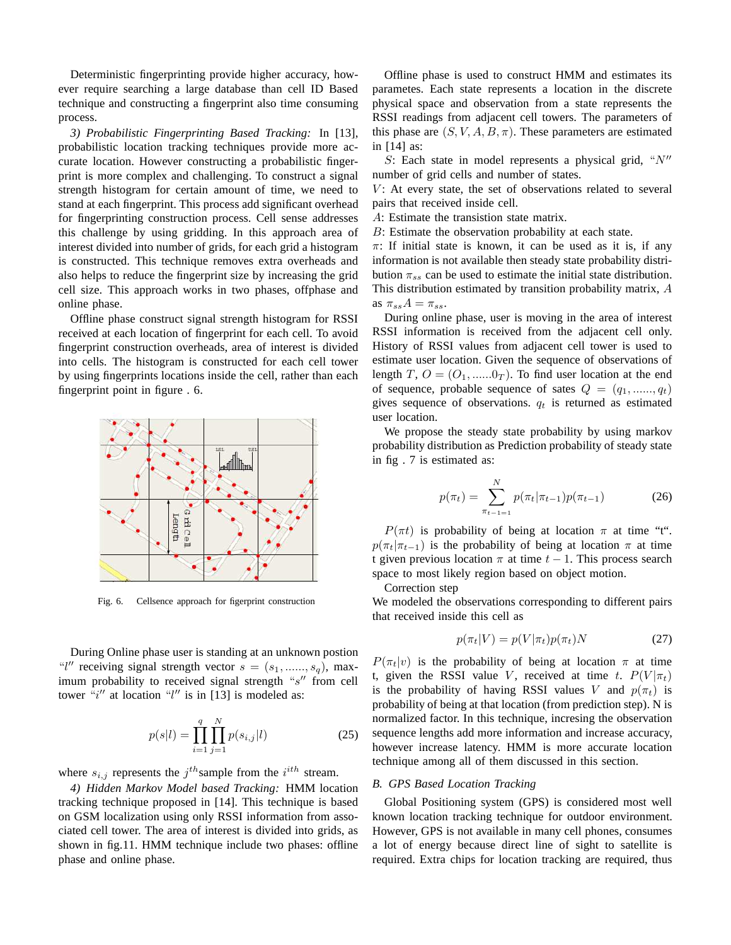Deterministic fingerprinting provide higher accuracy, however require searching a large database than cell ID Based technique and constructing a fingerprint also time consuming process.

*3) Probabilistic Fingerprinting Based Tracking:* In [13], probabilistic location tracking techniques provide more accurate location. However constructing a probabilistic fingerprint is more complex and challenging. To construct a signal strength histogram for certain amount of time, we need to stand at each fingerprint. This process add significant overhead for fingerprinting construction process. Cell sense addresses this challenge by using gridding. In this approach area of interest divided into number of grids, for each grid a histogram is constructed. This technique removes extra overheads and also helps to reduce the fingerprint size by increasing the grid cell size. This approach works in two phases, offphase and online phase.

Offline phase construct signal strength histogram for RSSI received at each location of fingerprint for each cell. To avoid fingerprint construction overheads, area of interest is divided into cells. The histogram is constructed for each cell tower by using fingerprints locations inside the cell, rather than each fingerprint point in figure . 6.



Fig. 6. Cellsence approach for figerprint construction

During Online phase user is standing at an unknown postion "l" receiving signal strength vector  $s = (s_1, \ldots, s_q)$ , maximum probability to received signal strength "s" from cell tower  $\frac{d}{dt}$  at location "l" is in [13] is modeled as:

$$
p(s|l) = \prod_{i=1}^{q} \prod_{j=1}^{N} p(s_{i,j}|l)
$$
 (25)

where  $s_{i,j}$  represents the  $j^{th}$  sample from the  $i^{ith}$  stream.

*4) Hidden Markov Model based Tracking:* HMM location tracking technique proposed in [14]. This technique is based on GSM localization using only RSSI information from associated cell tower. The area of interest is divided into grids, as shown in fig.11. HMM technique include two phases: offline phase and online phase.

Offline phase is used to construct HMM and estimates its parametes. Each state represents a location in the discrete physical space and observation from a state represents the RSSI readings from adjacent cell towers. The parameters of this phase are  $(S, V, A, B, \pi)$ . These parameters are estimated in [14] as:

S: Each state in model represents a physical grid, " $N''$ number of grid cells and number of states.

 $V$ : At every state, the set of observations related to several pairs that received inside cell.

A: Estimate the transistion state matrix.

B: Estimate the observation probability at each state.

 $\pi$ : If initial state is known, it can be used as it is, if any information is not available then steady state probability distribution  $\pi_{ss}$  can be used to estimate the initial state distribution. This distribution estimated by transition probability matrix, A as  $\pi_{ss}A = \pi_{ss}$ .

During online phase, user is moving in the area of interest RSSI information is received from the adjacent cell only. History of RSSI values from adjacent cell tower is used to estimate user location. Given the sequence of observations of length T,  $O = (O_1, \dots, 0_T)$ . To find user location at the end of sequence, probable sequence of sates  $Q = (q_1, \ldots, q_t)$ gives sequence of observations.  $q_t$  is returned as estimated user location.

We propose the steady state probability by using markov probability distribution as Prediction probability of steady state in fig . 7 is estimated as:

$$
p(\pi_t) = \sum_{\pi_{t-1}=1}^{N} p(\pi_t | \pi_{t-1}) p(\pi_{t-1})
$$
 (26)

 $P(\pi t)$  is probability of being at location  $\pi$  at time "t".  $p(\pi_t|\pi_{t-1})$  is the probability of being at location  $\pi$  at time t given previous location  $\pi$  at time  $t - 1$ . This process search space to most likely region based on object motion.

Correction step

We modeled the observations corresponding to different pairs that received inside this cell as

$$
p(\pi_t|V) = p(V|\pi_t)p(\pi_t)N
$$
\n(27)

 $P(\pi_t|v)$  is the probability of being at location  $\pi$  at time t, given the RSSI value V, received at time t.  $P(V | \pi_t)$ is the probability of having RSSI values V and  $p(\pi_t)$  is probability of being at that location (from prediction step). N is normalized factor. In this technique, incresing the observation sequence lengths add more information and increase accuracy, however increase latency. HMM is more accurate location technique among all of them discussed in this section.

#### *B. GPS Based Location Tracking*

Global Positioning system (GPS) is considered most well known location tracking technique for outdoor environment. However, GPS is not available in many cell phones, consumes a lot of energy because direct line of sight to satellite is required. Extra chips for location tracking are required, thus